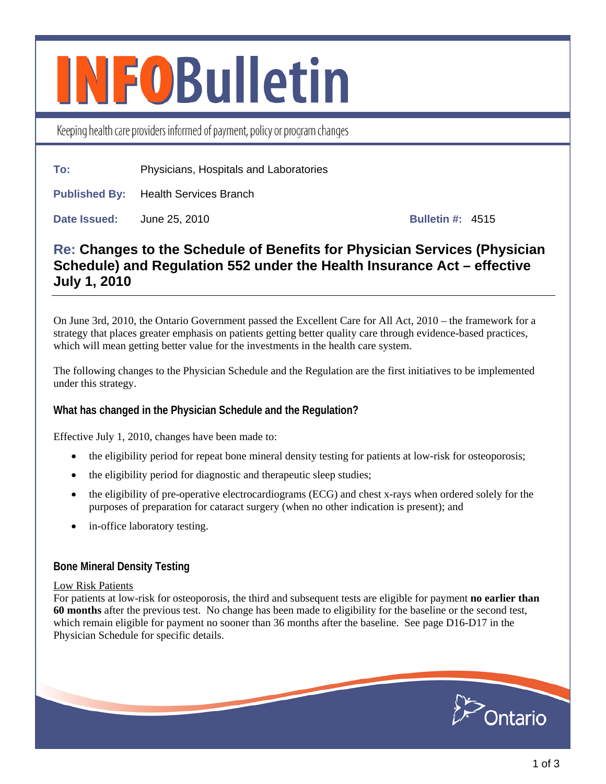# **INFOBulletin**

Keeping health care providers informed of payment, policy or program changes

**To:** Physicians, Hospitals and Laboratories

**Published By:** Health Services Branch

**Date Issued:** June 25, 2010 **Bulletin #: 4515** 

# **Re: Changes to the Schedule of Benefits for Physician Services (Physician Schedule) and Regulation 552 under the Health Insurance Act – effective July 1, 2010**

On June 3rd, 2010, the Ontario Government passed the Excellent Care for All Act, 2010 – the framework for a strategy that places greater emphasis on patients getting better quality care through evidence-based practices, which will mean getting better value for the investments in the health care system.

The following changes to the Physician Schedule and the Regulation are the first initiatives to be implemented under this strategy.

# **What has changed in the Physician Schedule and the Regulation?**

Effective July 1, 2010, changes have been made to:

- the eligibility period for repeat bone mineral density testing for patients at low-risk for osteoporosis;
- the eligibility period for diagnostic and therapeutic sleep studies;
- the eligibility of pre-operative electrocardiograms (ECG) and chest x-rays when ordered solely for the purposes of preparation for cataract surgery (when no other indication is present); and
- in-office laboratory testing.

# **Bone Mineral Density Testing**

#### Low Risk Patients

For patients at low-risk for osteoporosis, the third and subsequent tests are eligible for payment **no earlier than 60 months** after the previous test. No change has been made to eligibility for the baseline or the second test, which remain eligible for payment no sooner than 36 months after the baseline. See page D16-D17 in the Physician Schedule for specific details.

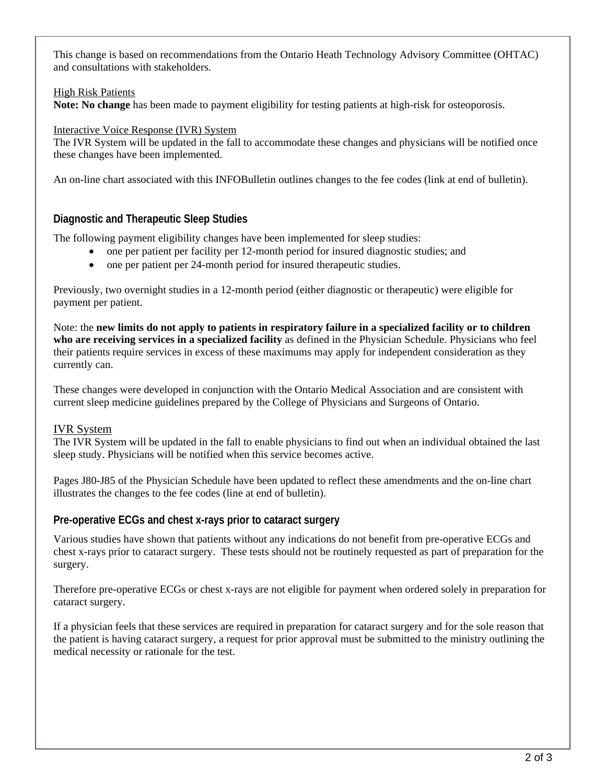This change is based on recommendations from the Ontario Heath Technology Advisory Committee (OHTAC) and consultations with stakeholders.

#### High Risk Patients

**Note: No change** has been made to payment eligibility for testing patients at high-risk for osteoporosis.

#### Interactive Voice Response (IVR) System

The IVR System will be updated in the fall to accommodate these changes and physicians will be notified once these changes have been implemented.

An on-line chart associated with this INFOBulletin outlines changes to the fee codes (link at end of bulletin).

#### **Diagnostic and Therapeutic Sleep Studies**

The following payment eligibility changes have been implemented for sleep studies:

- one per patient per facility per 12-month period for insured diagnostic studies; and
- one per patient per 24-month period for insured therapeutic studies.

Previously, two overnight studies in a 12-month period (either diagnostic or therapeutic) were eligible for payment per patient.

Note: the **new limits do not apply to patients in respiratory failure in a specialized facility or to children who are receiving services in a specialized facility** as defined in the Physician Schedule. Physicians who feel their patients require services in excess of these maximums may apply for independent consideration as they currently can.

These changes were developed in conjunction with the Ontario Medical Association and are consistent with current sleep medicine guidelines prepared by the College of Physicians and Surgeons of Ontario.

#### IVR System

The IVR System will be updated in the fall to enable physicians to find out when an individual obtained the last sleep study. Physicians will be notified when this service becomes active.

Pages J80-J85 of the Physician Schedule have been updated to reflect these amendments and the on-line chart illustrates the changes to the fee codes (line at end of bulletin).

#### **Pre-operative ECGs and chest x-rays prior to cataract surgery**

Various studies have shown that patients without any indications do not benefit from pre-operative ECGs and chest x-rays prior to cataract surgery. These tests should not be routinely requested as part of preparation for the surgery.

Therefore pre-operative ECGs or chest x-rays are not eligible for payment when ordered solely in preparation for cataract surgery.

If a physician feels that these services are required in preparation for cataract surgery and for the sole reason that the patient is having cataract surgery, a request for prior approval must be submitted to the ministry outlining the medical necessity or rationale for the test.